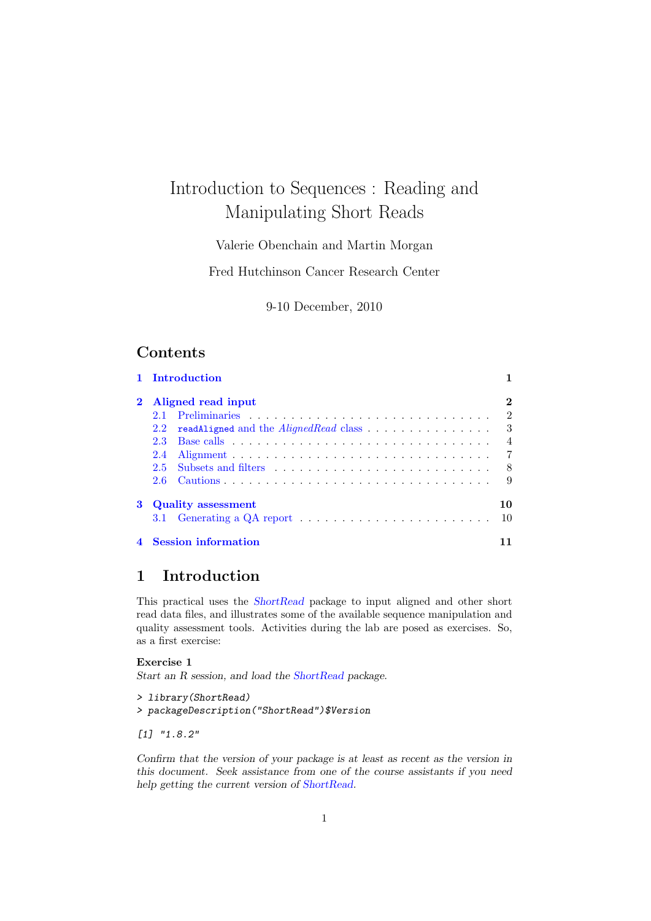# Introduction to Sequences : Reading and Manipulating Short Reads

# Valerie Obenchain and Martin Morgan

Fred Hutchinson Cancer Research Center

9-10 December, 2010

# Contents

|          |                           | 1 Introduction                                                                     |                |  |  |  |
|----------|---------------------------|------------------------------------------------------------------------------------|----------------|--|--|--|
| $\bf{2}$ | Aligned read input        |                                                                                    |                |  |  |  |
|          |                           |                                                                                    | $\overline{2}$ |  |  |  |
|          | 2.2                       |                                                                                    |                |  |  |  |
|          | $2.3^{\circ}$             |                                                                                    | $\overline{4}$ |  |  |  |
|          | 2.4                       |                                                                                    | -7             |  |  |  |
|          | $2.5^{\circ}$             |                                                                                    | - 8            |  |  |  |
|          |                           |                                                                                    | - 9            |  |  |  |
| 3        | <b>Quality</b> assessment |                                                                                    |                |  |  |  |
|          |                           | 3.1 Generating a QA report $\dots \dots \dots \dots \dots \dots \dots \dots \dots$ | -10            |  |  |  |
|          |                           | 4 Session information                                                              |                |  |  |  |

# <span id="page-0-0"></span>1 Introduction

This practical uses the [ShortRead](http://bioconductor.org/packages/release/bioc/html/ShortRead.html) package to input aligned and other short read data files, and illustrates some of the available sequence manipulation and quality assessment tools. Activities during the lab are posed as exercises. So, as a first exercise:

#### Exercise 1

Start an R session, and load the [ShortRead](http://bioconductor.org/packages/release/bioc/html/ShortRead.html) package.

```
> library(ShortRead)
> packageDescription("ShortRead")$Version
```
[1] "1.8.2"

Confirm that the version of your package is at least as recent as the version in this document. Seek assistance from one of the course assistants if you need help getting the current version of [ShortRead.](http://bioconductor.org/packages/release/bioc/html/ShortRead.html)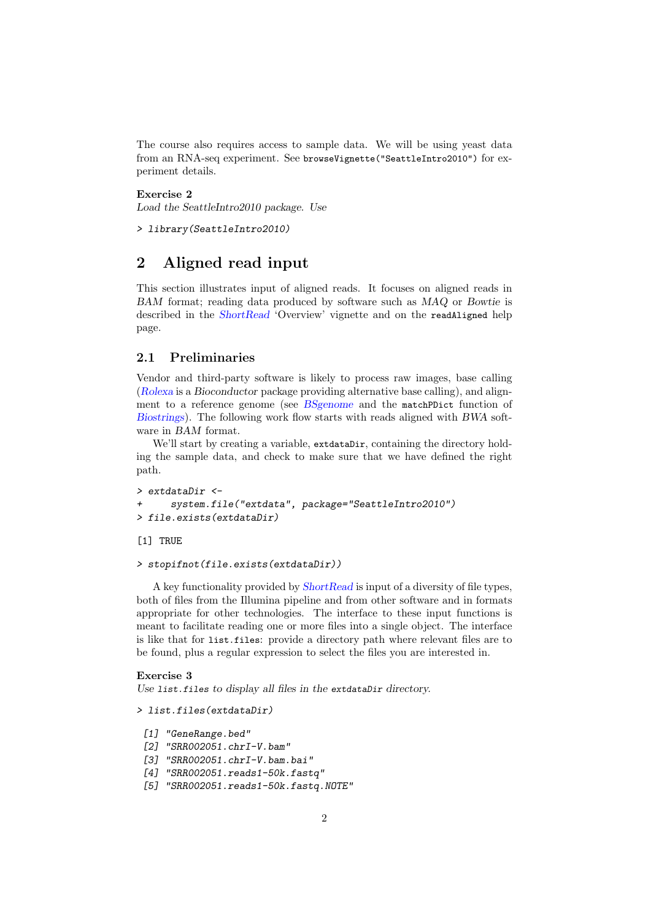The course also requires access to sample data. We will be using yeast data from an RNA-seq experiment. See browseVignette("SeattleIntro2010") for experiment details.

Exercise 2

Load the SeattleIntro2010 package. Use

> library(SeattleIntro2010)

# <span id="page-1-0"></span>2 Aligned read input

This section illustrates input of aligned reads. It focuses on aligned reads in BAM format; reading data produced by software such as MAQ or Bowtie is described in the [ShortRead](http://bioconductor.org/packages/release/bioc/html/ShortRead.html) 'Overview' vignette and on the readAligned help page.

### <span id="page-1-1"></span>2.1 Preliminaries

Vendor and third-party software is likely to process raw images, base calling ([Rolexa](http://bioconductor.org/packages/release/bioc/html/Rolexa.html) is a Bioconductor package providing alternative base calling), and alignment to a reference genome (see [BSgenome](http://bioconductor.org/packages/release/bioc/html/BSgenome.html) and the matchPDict function of [Biostrings](http://bioconductor.org/packages/release/bioc/html/Biostrings.html)). The following work flow starts with reads aligned with BWA software in BAM format.

We'll start by creating a variable, extdataDir, containing the directory holding the sample data, and check to make sure that we have defined the right path.

```
> extdataDir <-
+ system.file("extdata", package="SeattleIntro2010")
> file.exists(extdataDir)
```
[1] TRUE

```
> stopifnot(file.exists(extdataDir))
```
A key functionality provided by [ShortRead](http://bioconductor.org/packages/release/bioc/html/ShortRead.html) is input of a diversity of file types, both of files from the Illumina pipeline and from other software and in formats appropriate for other technologies. The interface to these input functions is meant to facilitate reading one or more files into a single object. The interface is like that for list.files: provide a directory path where relevant files are to be found, plus a regular expression to select the files you are interested in.

#### Exercise 3

Use list.files to display all files in the extdataDir directory.

```
> list.files(extdataDir)
```

```
[1] "GeneRange.bed"
```
- [2] "SRR002051.chrI-V.bam"
- [3] "SRR002051.chrI-V.bam.bai"
- [4] "SRR002051.reads1-50k.fastq"
- [5] "SRR002051.reads1-50k.fastq.NOTE"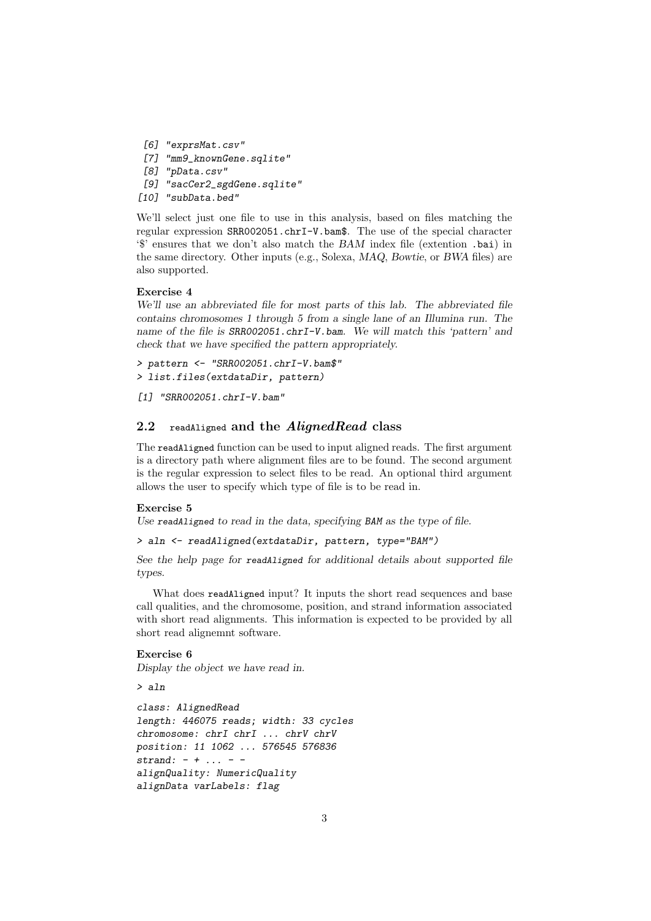- [6] "exprsMat.csv"
- [7] "mm9\_knownGene.sqlite"
- [8] "pData.csv"
- [9] "sacCer2\_sgdGene.sqlite"
- [10] "subData.bed"

We'll select just one file to use in this analysis, based on files matching the regular expression SRR002051.chrI-V.bam\$. The use of the special character '\$' ensures that we don't also match the BAM index file (extention .bai) in the same directory. Other inputs (e.g., Solexa, MAQ, Bowtie, or BWA files) are also supported.

#### Exercise 4

We'll use an abbreviated file for most parts of this lab. The abbreviated file contains chromosomes 1 through 5 from a single lane of an Illumina run. The name of the file is SRR002051.chrI-V.bam. We will match this 'pattern' and check that we have specified the pattern appropriately.

> pattern <- "SRR002051.chrI-V.bam\$" > list.files(extdataDir, pattern)

[1] "SRR002051.chrI-V.bam"

### <span id="page-2-0"></span>2.2 readAligned and the  $\emph{A}$ lignedRead class

The readAligned function can be used to input aligned reads. The first argument is a directory path where alignment files are to be found. The second argument is the regular expression to select files to be read. An optional third argument allows the user to specify which type of file is to be read in.

#### Exercise 5

Use readAligned to read in the data, specifying BAM as the type of file.

```
> aln <- readAligned(extdataDir, pattern, type="BAM")
```
See the help page for readAligned for additional details about supported file types.

What does readAligned input? It inputs the short read sequences and base call qualities, and the chromosome, position, and strand information associated with short read alignments. This information is expected to be provided by all short read alignemnt software.

### Exercise 6

Display the object we have read in.

> aln

```
class: AlignedRead
length: 446075 reads; width: 33 cycles
chromosome: chrI chrI ... chrV chrV
position: 11 1062 ... 576545 576836
strand: - + ... - -alignQuality: NumericQuality
alignData varLabels: flag
```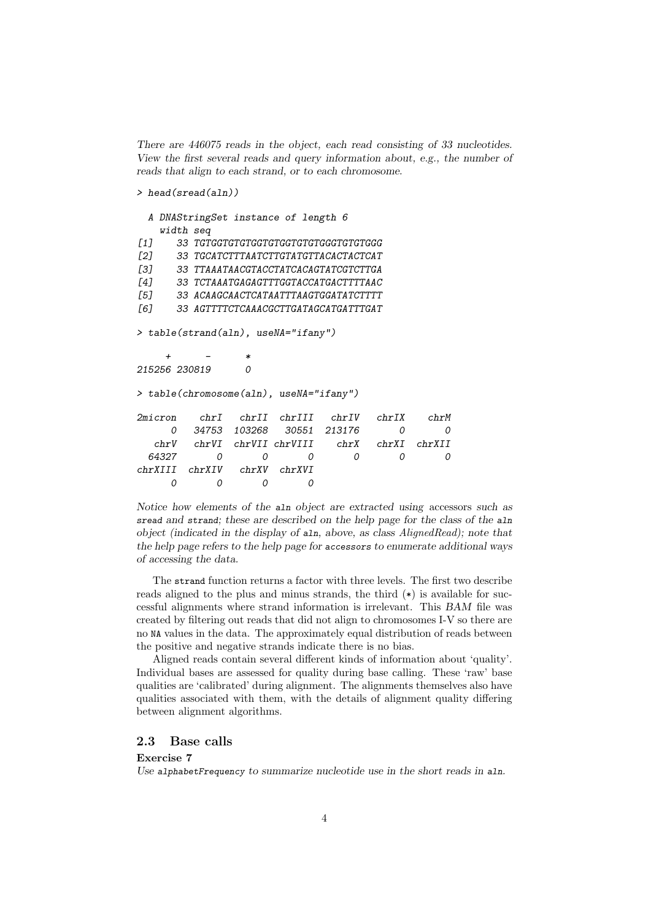There are 446075 reads in the object, each read consisting of 33 nucleotides. View the first several reads and query information about, e.g., the number of reads that align to each strand, or to each chromosome.

#### > head(sread(aln))

```
A DNAStringSet instance of length 6
   width seq
[1] 33 TGTGGTGTGTGGTGTGGTGTGTGGGTGTGTGGG
[2] 33 TGCATCTTTAATCTTGTATGTTACACTACTCAT
[3] 33 TTAAATAACGTACCTATCACAGTATCGTCTTGA
[4] 33 TCTAAATGAGAGTTTGGTACCATGACTTTTAAC
[5] 33 ACAAGCAACTCATAATTTAAGTGGATATCTTTT
[6] 33 AGTTTTCTCAAACGCTTGATAGCATGATTTGAT
> table(strand(aln), useNA="ifany")
    + - *215256 230819 0
> table(chromosome(aln), useNA="ifany")
2micron chrI chrII chrIII chrIV chrIX chrM
    0 34753 103268 30551 213176 0 0
  chrV chrVI chrVII chrVIII chrX chrXI chrXII
 64327 0 0 0 0 0 0
chrXIII chrXIV chrXV chrXVI
    0 0 0 0
```
Notice how elements of the aln object are extracted using accessors such as sread and strand; these are described on the help page for the class of the aln object (indicated in the display of aln, above, as class AlignedRead); note that the help page refers to the help page for accessors to enumerate additional ways of accessing the data.

The strand function returns a factor with three levels. The first two describe reads aligned to the plus and minus strands, the third  $(*)$  is available for successful alignments where strand information is irrelevant. This BAM file was created by filtering out reads that did not align to chromosomes I-V so there are no NA values in the data. The approximately equal distribution of reads between the positive and negative strands indicate there is no bias.

Aligned reads contain several different kinds of information about 'quality'. Individual bases are assessed for quality during base calling. These 'raw' base qualities are 'calibrated' during alignment. The alignments themselves also have qualities associated with them, with the details of alignment quality differing between alignment algorithms.

### <span id="page-3-0"></span>2.3 Base calls

#### Exercise 7

Use alphabetFrequency to summarize nucleotide use in the short reads in aln.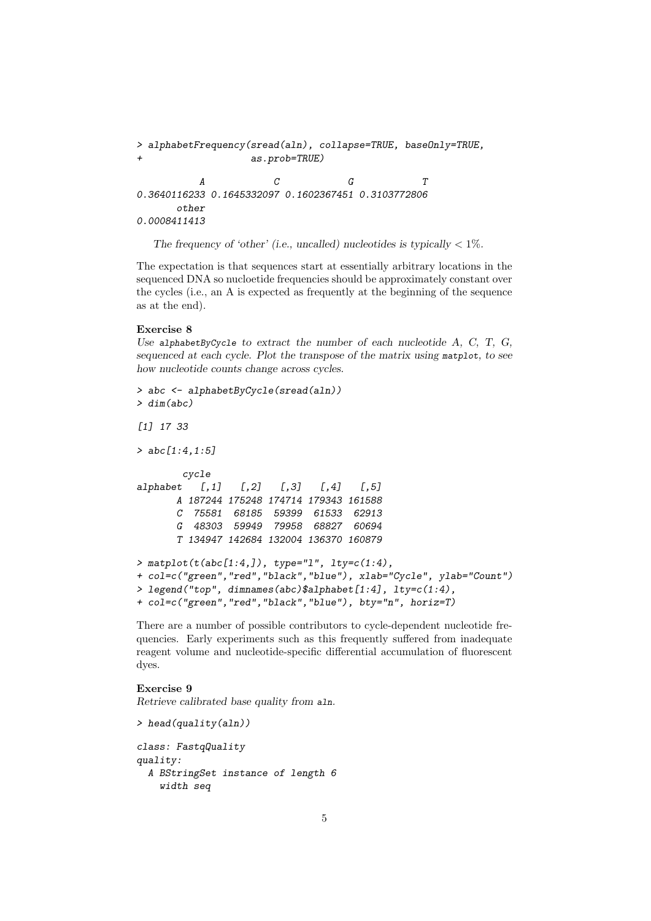```
> alphabetFrequency(sread(aln), collapse=TRUE, baseOnly=TRUE,
                as.prob=TRUE)
         A C G T
0.3640116233 0.1645332097 0.1602367451 0.3103772806
     other
0.0008411413
```
The frequency of 'other' (i.e., uncalled) nucleotides is typically  $\langle 1\% \rangle$ .

The expectation is that sequences start at essentially arbitrary locations in the sequenced DNA so nucloetide frequencies should be approximately constant over the cycles (i.e., an A is expected as frequently at the beginning of the sequence as at the end).

#### Exercise 8

Use alphabetByCycle to extract the number of each nucleotide  $A$ ,  $C$ ,  $T$ ,  $G$ , sequenced at each cycle. Plot the transpose of the matrix using matplot, to see how nucleotide counts change across cycles.

```
> abc <- alphabetByCycle(sread(aln))
> dim(abc)
[1] 17 33
> abc[1:4, 1:5]cycle
alphabet [,1] [,2] [,3] [,4] [,5]
      A 187244 175248 174714 179343 161588
      C 75581 68185 59399 61533 62913
      G 48303 59949 79958 68827 60694
      T 134947 142684 132004 136370 160879
> matplot(t(abc[1:4,]), type="1", lty=c(1:4),+ col=c("green","red","black","blue"), xlab="Cycle", ylab="Count")
> legend("top", dimnames(abc)$alphabet[1:4], lty=c(1:4),
+ col=c("green","red","black","blue"), bty="n", horiz=T)
```
There are a number of possible contributors to cycle-dependent nucleotide frequencies. Early experiments such as this frequently suffered from inadequate reagent volume and nucleotide-specific differential accumulation of fluorescent dyes.

### Exercise 9

> head(quality(aln))

Retrieve calibrated base quality from aln.

```
class: FastqQuality
quality:
 A BStringSet instance of length 6
   width seq
```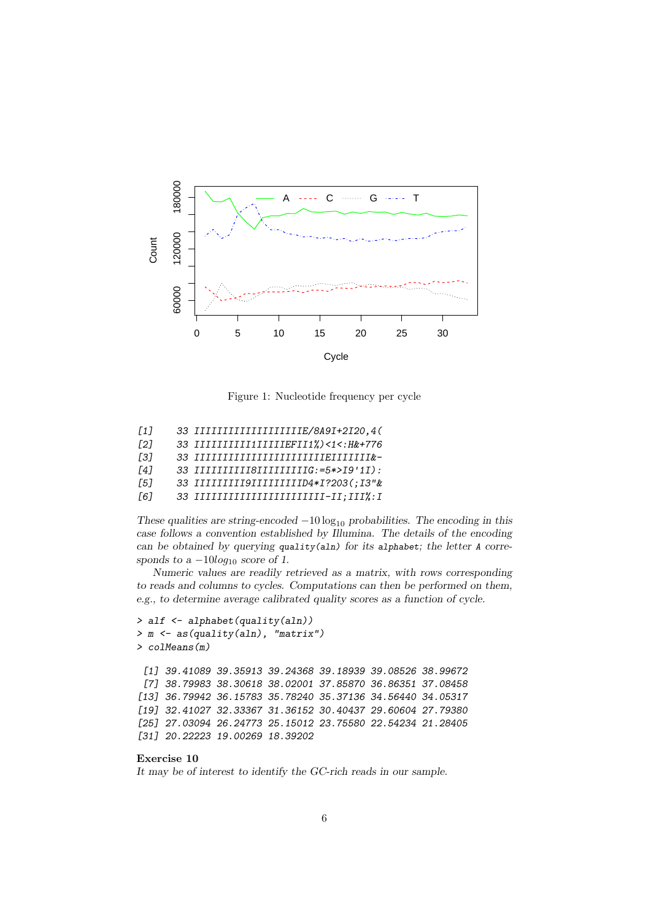

Figure 1: Nucleotide frequency per cycle

| $\lceil 1 \rceil$ | 33 IIIIIIIIIIIIIIIIIIIIE/8A9I+2I20,4(     |
|-------------------|-------------------------------------------|
| [2]               | 33 IIIIIIIIIIIIIIIIIEFII1%)<1<: H&+776    |
| [3]               | 33 IIIIIIIIIIIIIIIIIIIIIIIIEIIIIIIIk-     |
| <b>141</b>        | 33 IIIIIIIIIII8IIIIIIIIIIIG:=5*>I9'1I):   |
| Г51               | 33 IIIIIIIII9IIIIIIIIIIID4*I?203(;I3"&    |
| [6]               | 33 IIIIIIIIIIIIIIIIIIIIIIIIII-II; III%: I |

These qualities are string-encoded  $-10 \log_{10}$  probabilities. The encoding in this case follows a convention established by Illumina. The details of the encoding can be obtained by querying quality(aln) for its alphabet; the letter A corresponds to a  $-10log_{10}$  score of 1.

Numeric values are readily retrieved as a matrix, with rows corresponding to reads and columns to cycles. Computations can then be performed on them, e.g., to determine average calibrated quality scores as a function of cycle.

```
> alf <- alphabet(quality(aln))
> m <- as(quality(aln), "matrix")
> colMeans(m)
 [1] 39.41089 39.35913 39.24368 39.18939 39.08526 38.99672
 [7] 38.79983 38.30618 38.02001 37.85870 36.86351 37.08458
[13] 36.79942 36.15783 35.78240 35.37136 34.56440 34.05317
[19] 32.41027 32.33367 31.36152 30.40437 29.60604 27.79380
[25] 27.03094 26.24773 25.15012 23.75580 22.54234 21.28405
[31] 20.22223 19.00269 18.39202
```
#### Exercise 10

It may be of interest to identify the GC-rich reads in our sample.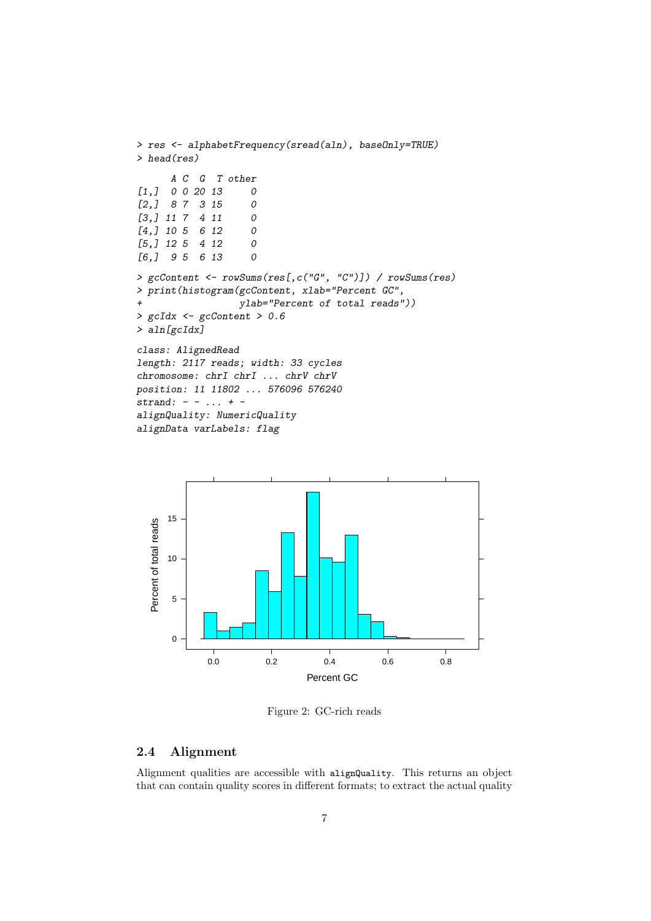```
> res <- alphabetFrequency(sread(aln), baseOnly=TRUE)
> head(res)
      A C G T other
[1, 1, 0, 0, 20, 13, 0][2,] 8 7 3 15 0
[3,] 11 7 4 11 0
[4,] 10 5 6 12 0
[5,] 12 5 4 12 0<br>[6,] 9 5 6 13 0
[6,] 95 6 13
> gcContent <- rowSums(res[,c("G", "C")]) / rowSums(res)
> print(histogram(gcContent, xlab="Percent GC",
+ ylab="Percent of total reads"))
> gcIdx <- gcContent > 0.6
> aln[gcIdx]
class: AlignedRead
length: 2117 reads; width: 33 cycles
chromosome: chrI chrI ... chrV chrV
position: 11 11802 ... 576096 576240
strand: - - ... + -alignQuality: NumericQuality
alignData varLabels: flag
```


Figure 2: GC-rich reads

### <span id="page-6-0"></span>2.4 Alignment

Alignment qualities are accessible with alignQuality. This returns an object that can contain quality scores in different formats; to extract the actual quality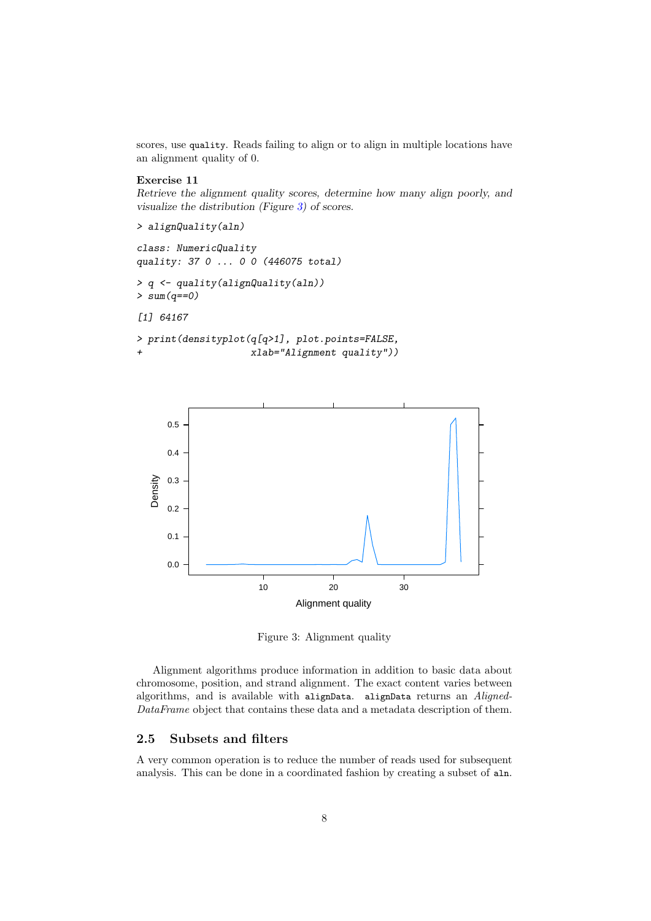scores, use quality. Reads failing to align or to align in multiple locations have an alignment quality of 0.

#### Exercise 11

Retrieve the alignment quality scores, determine how many align poorly, and visualize the distribution (Figure [3\)](#page-7-1) of scores.

> alignQuality(aln)

class: NumericQuality quality: 37 0 ... 0 0 (446075 total)

> q <- quality(alignQuality(aln))  $> sum(q == 0)$ 

[1] 64167

```
> print(densityplot(q[q>1], plot.points=FALSE,
                    xlab="Alignment quality"))
```


<span id="page-7-1"></span>Figure 3: Alignment quality

Alignment algorithms produce information in addition to basic data about chromosome, position, and strand alignment. The exact content varies between algorithms, and is available with alignData. alignData returns an Aligned-DataFrame object that contains these data and a metadata description of them.

# <span id="page-7-0"></span>2.5 Subsets and filters

A very common operation is to reduce the number of reads used for subsequent analysis. This can be done in a coordinated fashion by creating a subset of aln.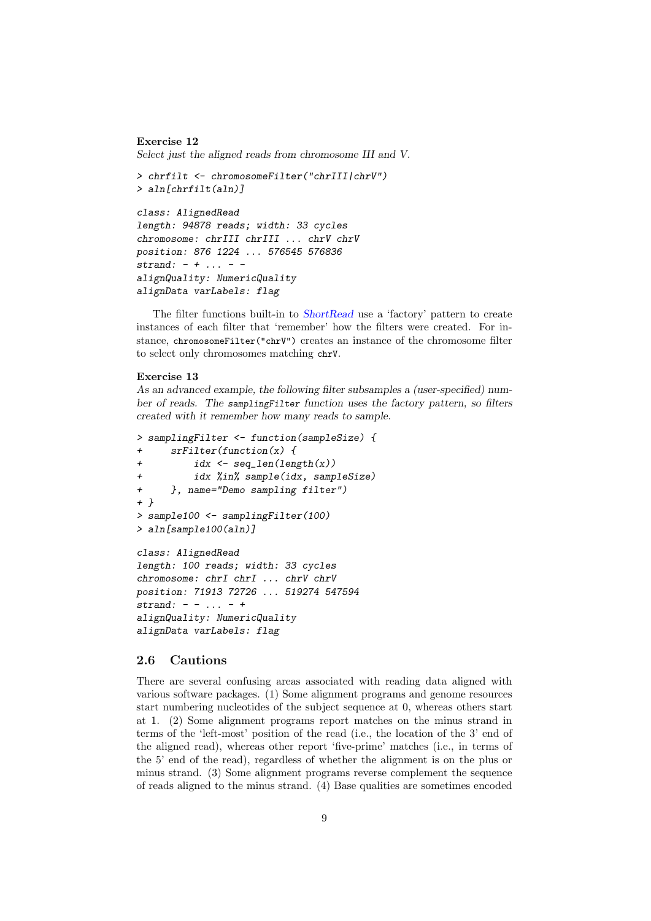#### Exercise 12

Select just the aligned reads from chromosome III and V.

```
> chrfilt <- chromosomeFilter("chrIII|chrV")
> aln[chrfilt(aln)]
class: AlignedRead
length: 94878 reads; width: 33 cycles
chromosome: chrIII chrIII ... chrV chrV
position: 876 1224 ... 576545 576836
strand: - + ... - -alignQuality: NumericQuality
alignData varLabels: flag
```
The filter functions built-in to [ShortRead](http://bioconductor.org/packages/release/bioc/html/ShortRead.html) use a 'factory' pattern to create instances of each filter that 'remember' how the filters were created. For instance, chromosomeFilter("chrV") creates an instance of the chromosome filter to select only chromosomes matching chrV.

#### Exercise 13

As an advanced example, the following filter subsamples a (user-specified) number of reads. The samplingFilter function uses the factory pattern, so filters created with it remember how many reads to sample.

```
> samplingFilter <- function(sampleSize) {
+ srFilter(function(x) {
+ idx \leftarrow seq\_len(leneth(x))+ idx %in% sample(idx, sampleSize)
+ }, name="Demo sampling filter")
+ }
> sample100 <- samplingFilter(100)
> aln[sample100(aln)]
class: AlignedRead
length: 100 reads; width: 33 cycles
chromosome: chrI chrI ... chrV chrV
position: 71913 72726 ... 519274 547594
strand: - - ... - +alignQuality: NumericQuality
alignData varLabels: flag
```
#### <span id="page-8-0"></span>2.6 Cautions

There are several confusing areas associated with reading data aligned with various software packages. (1) Some alignment programs and genome resources start numbering nucleotides of the subject sequence at 0, whereas others start at 1. (2) Some alignment programs report matches on the minus strand in terms of the 'left-most' position of the read (i.e., the location of the 3' end of the aligned read), whereas other report 'five-prime' matches (i.e., in terms of the 5' end of the read), regardless of whether the alignment is on the plus or minus strand. (3) Some alignment programs reverse complement the sequence of reads aligned to the minus strand. (4) Base qualities are sometimes encoded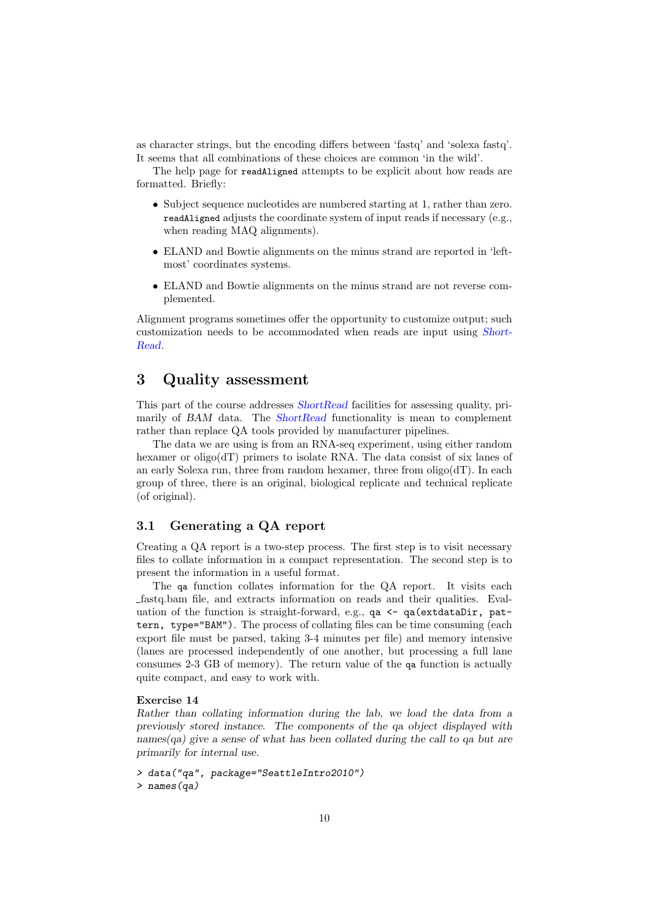as character strings, but the encoding differs between 'fastq' and 'solexa fastq'. It seems that all combinations of these choices are common 'in the wild'.

The help page for readAligned attempts to be explicit about how reads are formatted. Briefly:

- Subject sequence nucleotides are numbered starting at 1, rather than zero. readAligned adjusts the coordinate system of input reads if necessary (e.g., when reading MAQ alignments).
- ELAND and Bowtie alignments on the minus strand are reported in 'leftmost' coordinates systems.
- ELAND and Bowtie alignments on the minus strand are not reverse complemented.

Alignment programs sometimes offer the opportunity to customize output; such customization needs to be accommodated when reads are input using [Short-](http://bioconductor.org/packages/release/bioc/html/ShortRead.html)[Read](http://bioconductor.org/packages/release/bioc/html/ShortRead.html).

# <span id="page-9-0"></span>3 Quality assessment

This part of the course addresses [ShortRead](http://bioconductor.org/packages/release/bioc/html/ShortRead.html) facilities for assessing quality, pri-marily of BAM data. The [ShortRead](http://bioconductor.org/packages/release/bioc/html/ShortRead.html) functionality is mean to complement rather than replace QA tools provided by manufacturer pipelines.

The data we are using is from an RNA-seq experiment, using either random hexamer or oligo( $dT$ ) primers to isolate RNA. The data consist of six lanes of an early Solexa run, three from random hexamer, three from oligo(dT). In each group of three, there is an original, biological replicate and technical replicate (of original).

## <span id="page-9-1"></span>3.1 Generating a QA report

Creating a QA report is a two-step process. The first step is to visit necessary files to collate information in a compact representation. The second step is to present the information in a useful format.

The qa function collates information for the QA report. It visits each fastq.bam file, and extracts information on reads and their qualities. Evaluation of the function is straight-forward, e.g., qa <- qa(extdataDir, pattern, type="BAM"). The process of collating files can be time consuming (each export file must be parsed, taking 3-4 minutes per file) and memory intensive (lanes are processed independently of one another, but processing a full lane consumes 2-3 GB of memory). The return value of the qa function is actually quite compact, and easy to work with.

#### Exercise 14

Rather than collating information during the lab, we load the data from a previously stored instance. The components of the qa object displayed with names(qa) give a sense of what has been collated during the call to qa but are primarily for internal use.

```
> data("qa", package="SeattleIntro2010")
> names(qa)
```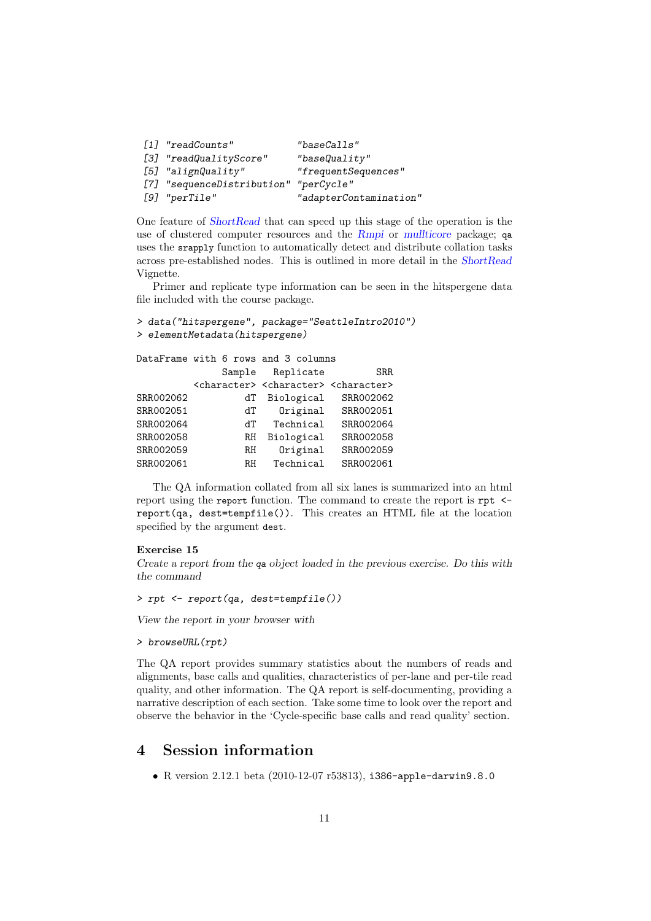```
[1] "readCounts" "baseCalls"
[3] "readQualityScore" "baseQuality"
[5] "alignQuality" "frequentSequences"
[7] "sequenceDistribution" "perCycle"
[9] "perTile" "adapterContamination"
```
One feature of [ShortRead](http://bioconductor.org/packages/release/bioc/html/ShortRead.html) that can speed up this stage of the operation is the use of clustered computer resources and the [Rmpi](http://cran.fhcrc.org/web/packages/Rmpi/index.html) or [mullticore](http://cran.fhcrc.org/web/packages/mullticore/index.html) package; qa uses the srapply function to automatically detect and distribute collation tasks across pre-established nodes. This is outlined in more detail in the [ShortRead](http://bioconductor.org/packages/release/bioc/html/ShortRead.html) Vignette.

Primer and replicate type information can be seen in the hitspergene data file included with the course package.

```
> data("hitspergene", package="SeattleIntro2010")
> elementMetadata(hitspergene)
```

|           |        | DataFrame with 6 rows and 3 columns                                     |           |
|-----------|--------|-------------------------------------------------------------------------|-----------|
|           | Sample | Replicate                                                               | SRR.      |
|           |        | <character> <character> <character></character></character></character> |           |
| SRR002062 | dТ     | Biological                                                              | SRR002062 |
| SRR002051 | dT     | Original                                                                | SRR002051 |
| SRR002064 | ďТ     | Technical                                                               | SRR002064 |
| SRR002058 | RH     | Biological                                                              | SRR002058 |
| SRR002059 | RH     | Original                                                                | SRR002059 |
| SRR002061 | R.H    | Technical                                                               | SRR002061 |

The QA information collated from all six lanes is summarized into an html report using the report function. The command to create the report is rpt  $\leq$ report(qa, dest=tempfile()). This creates an HTML file at the location specified by the argument dest.

#### Exercise 15

Create a report from the qa object loaded in the previous exercise. Do this with the command

> rpt <- report(qa, dest=tempfile())

View the report in your browser with

```
> browseURL(rpt)
```
The QA report provides summary statistics about the numbers of reads and alignments, base calls and qualities, characteristics of per-lane and per-tile read quality, and other information. The QA report is self-documenting, providing a narrative description of each section. Take some time to look over the report and observe the behavior in the 'Cycle-specific base calls and read quality' section.

# <span id="page-10-0"></span>4 Session information

• R version 2.12.1 beta (2010-12-07 r53813), i386-apple-darwin9.8.0